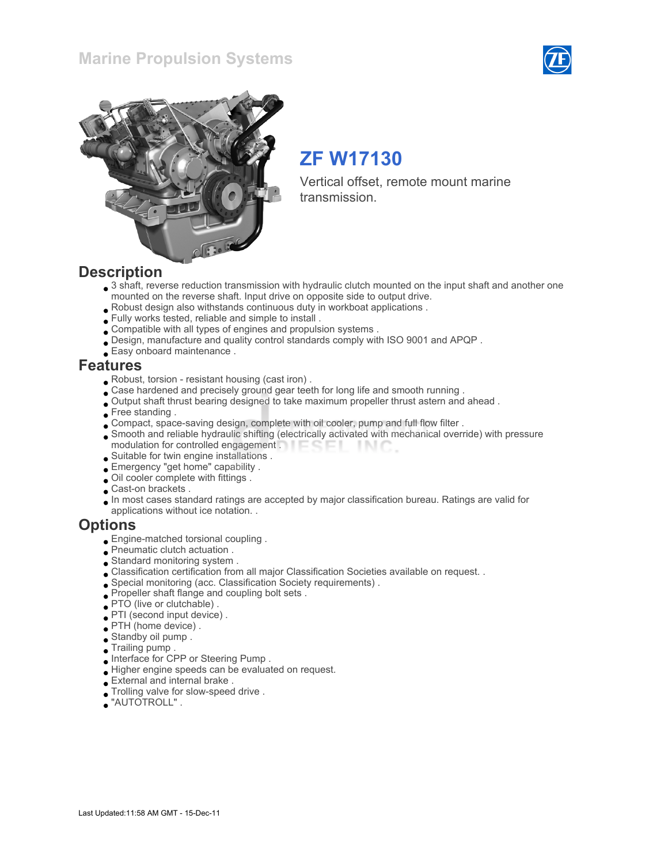### Marine Propulsion Systems





# ZF W17130

Vertical offset, remote mount marine transmission.

### **Description**

- 3 shaft, reverse reduction transmission with hydraulic clutch mounted on the input shaft and another one mounted on the reverse shaft. Input drive on opposite side to output drive.
- Robust design also withstands continuous duty in workboat applications .
- Fully works tested, reliable and simple to install .
- Compatible with all types of engines and propulsion systems .
- Design, manufacture and quality control standards comply with ISO 9001 and APQP .
- Easy onboard maintenance .

### Features

- Robust, torsion resistant housing (cast iron) .
- Case hardened and precisely ground gear teeth for long life and smooth running .
- Output shaft thrust bearing designed to take maximum propeller thrust astern and ahead .
- Free standing.
- Compact, space-saving design, complete with oil cooler, pump and full flow filter .
- Smooth and reliable hydraulic shifting (electrically activated with mechanical override) with pressure modulation for controlled engagement . **Example 20** - IN C
- Suitable for twin engine installations .
- Emergency "get home" capability .
- Oil cooler complete with fittings .
- Cast-on brackets .
- In most cases standard ratings are accepted by major classification bureau. Ratings are valid for applications without ice notation. .

### **Options**

- Engine-matched torsional coupling .
- Pneumatic clutch actuation .
- Standard monitoring system .
- Classification certification from all major Classification Societies available on request. .
- Special monitoring (acc. Classification Society requirements) .
- Propeller shaft flange and coupling bolt sets .
- PTO (live or clutchable) .
- PTI (second input device) .
- PTH (home device) .
- Standby oil pump .
- Trailing pump .
- Interface for CPP or Steering Pump .
- Higher engine speeds can be evaluated on request.
- External and internal brake .
- Trolling valve for slow-speed drive .
- "AUTOTROLL" .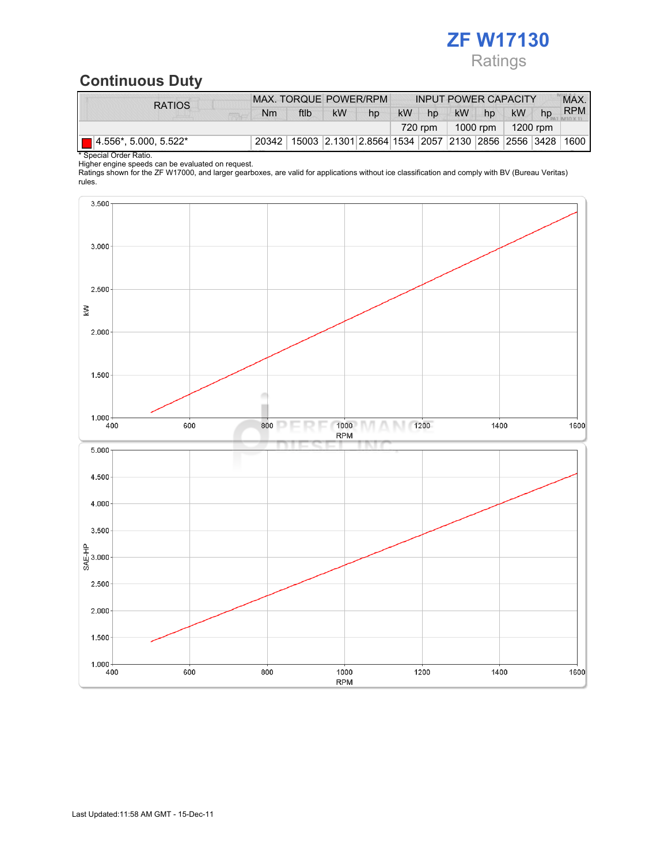# ZF W17130 Ratings

## Continuous Duty

| <b>RATIOS</b>           | MAX. TORQUE POWER/RPM |      |                                                        |    | <b>INPUT POWER CAPACITY</b> |    |                       |    |           | MAX. |            |
|-------------------------|-----------------------|------|--------------------------------------------------------|----|-----------------------------|----|-----------------------|----|-----------|------|------------|
|                         | Nm                    | ftlb | <b>kW</b>                                              | hp | <b>kW</b>                   | hp | <b>kW</b>             | hp | <b>kW</b> | hp   | <b>RPM</b> |
|                         |                       |      |                                                        |    |                             |    | 1000 rpm  <br>720 rpm |    | 1200 rpm  |      |            |
| ■ 4.556*, 5.000, 5.522* | 20342                 |      | 15003 2.1301 2.8564 1534 2057 2130 2856 2556 3428 1600 |    |                             |    |                       |    |           |      |            |

\* Special Order Ratio.

Higher engine speeds can be evaluated on request.

Ratings shown for the ZF W17000, and larger gearboxes, are valid for applications without ice classification and comply with BV (Bureau Veritas) rules.

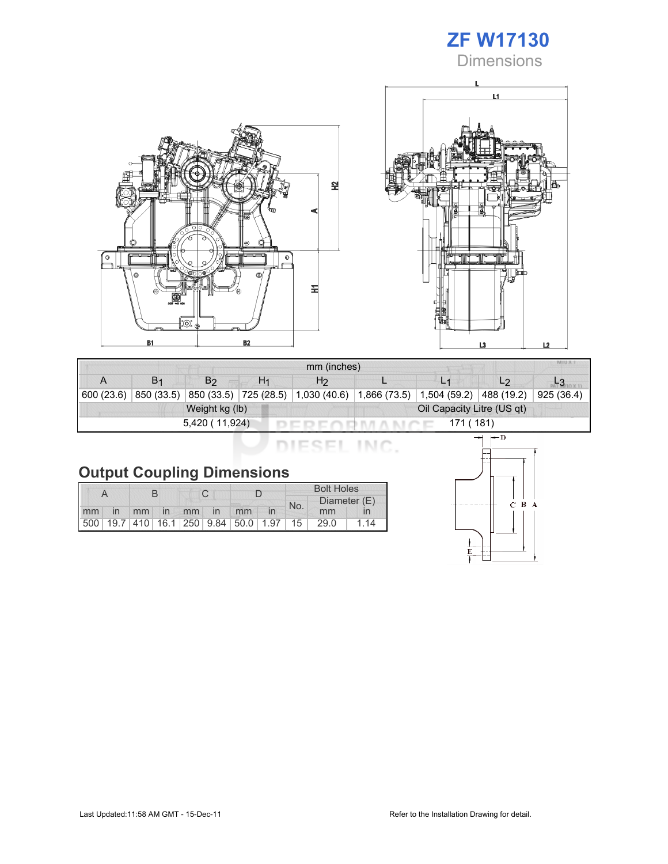## ZF W17130 **Dimensions**





| mm (inches)                  |                |                |    |                                                              |  |                |                |           |  |
|------------------------------|----------------|----------------|----|--------------------------------------------------------------|--|----------------|----------------|-----------|--|
|                              | B <sub>1</sub> | B <sub>2</sub> | H1 | H <sub>2</sub>                                               |  | L <sub>1</sub> | L <sub>2</sub> |           |  |
| 600 (23.6)                   | 850 (33.5)     |                |    | 850 (33.5) 725 (28.5) 1,030 (40.6) 1,866 (73.5) 1,504 (59.2) |  |                | 488 (19.2)     | 925(36.4) |  |
|                              |                | Weight kg (lb) |    | Oil Capacity Litre (US qt)                                   |  |                |                |           |  |
| 171 ( 181)<br>5,420 (11,924) |                |                |    |                                                              |  |                |                |           |  |

DIESEL INC.

# Output Coupling Dimensions

|    |    |  |             |  |  | <b>Bolt Holes</b>                                       |  |     |              |    |  |
|----|----|--|-------------|--|--|---------------------------------------------------------|--|-----|--------------|----|--|
|    |    |  |             |  |  |                                                         |  | No. | Diameter (E) |    |  |
| mm | in |  | mm in mm in |  |  | mm                                                      |  |     | mm           |    |  |
|    |    |  |             |  |  | 500   19.7   410   16.1   250   9.84   50.0   1.97   15 |  |     | 29.0         | 14 |  |

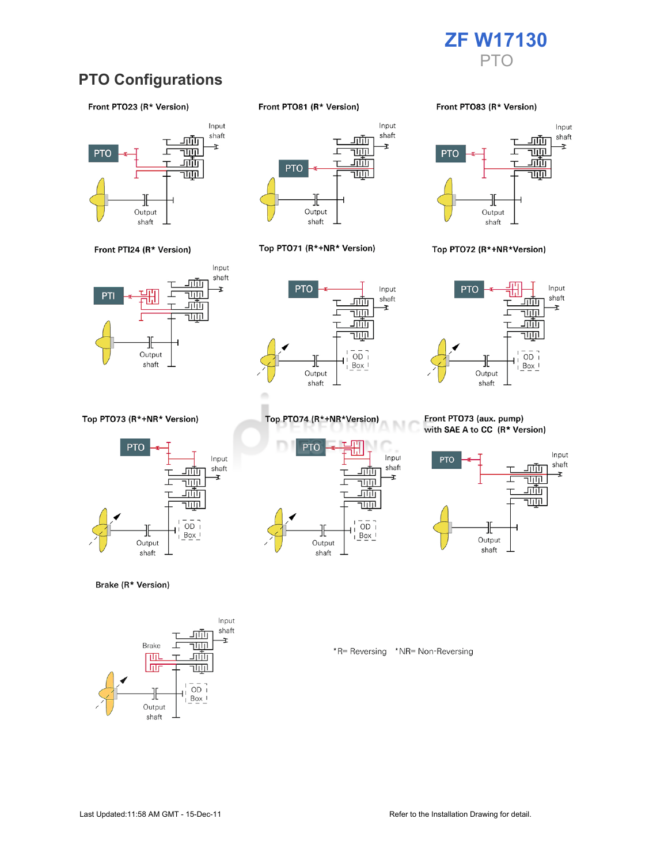

### **PTO Configurations**

#### Front PTO23 (R\* Version)





Top PTO73 (R\*+NR\* Version)



Brake (R\* Version)



Front PTO81 (R\* Version)



#### Top PTO71 (R\*+NR\* Version)



Top PTO74 (R\*+NR\*Version)

╫

Output

shaft

<u>ш.</u>

г

<u>जाण</u>

च्णा

<u>गाँग</u>

<u>TUTIL</u>

 $\overline{OD}$ 

 $Box$ 

**PTO** 

Front PTO83 (R\* Version)



#### Top PTO72 (R\*+NR\*Version)



#### Front PTO73 (aux. pump) with SAE A to CC (R\* Version)



\*R= Reversing \*NR= Non-Reversing

M

Input

shaft

Ŧ